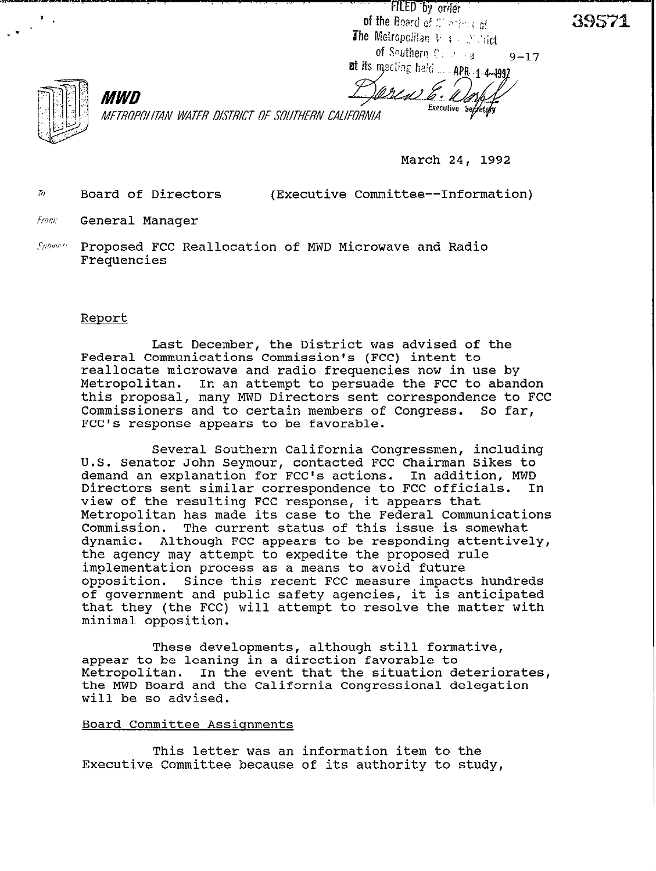FILED by order of the Board of Montres of The Metropolitan  $V + \mathbb{Z}$  and the of Southern Coloring  $9 - 17$ at its mecling held \_\_\_\_\_ APR 1-4-1992



*h'ET,ROPfflITAN WATER DISJXJ OF SffUJlERN CAIIFORNIA* 

**March 24, 1992** 

Executive Secretory

'77 **Board of Directors (Executive Committee--Information)** 

**Finni General Manager** 

*MWD* 

**,W1ori. Proposed FCC Reallocation of MWD Microwave and Radio Frequencies** 

#### **Report**

**Last December, the District was advised of the Federal Communications Commission's (FCC) intent to reallocate microwave and radio frequencies now in use by Metropolitan. In an attempt to persuade the FCC to abandon this proposal, many MWD Directors sent correspondence to FCC**  Commissioners and to certain members of Congress. **FCC's response appears to be favorable.** 

**Several Southern California Congressmen, including U.S. Senator John Seymour, contacted FCC Chairman Sikes to demand an explanation for FCC's actions. In addition, MWD**  Directors sent similar correspondence to FCC officials. **view of the resulting FCC response, it appears that Metropolitan has made its case to the Federal Communications Commission. The current status of this issue is somewhat**  Although FCC appears to be responding attentively, **the agency may attempt to expedite the proposed rule implementation process as a means to avoid future opposition. Since this recent FCC measure impacts hundreds of government and public safety agencies, it is anticipated that they (the FCC) will attempt to resolve the matter with minimal opposition.** 

**These developments, although still formative, appear to be leaning in a direction favorable to Metropolitan. In the event that the situation deteriorates, the MWD Board and the California Congressional delegation will be so advised.** 

#### **Board Committee Assiqnments**

**This letter was an information item to the Executive Committee because of its authority to study,**  39571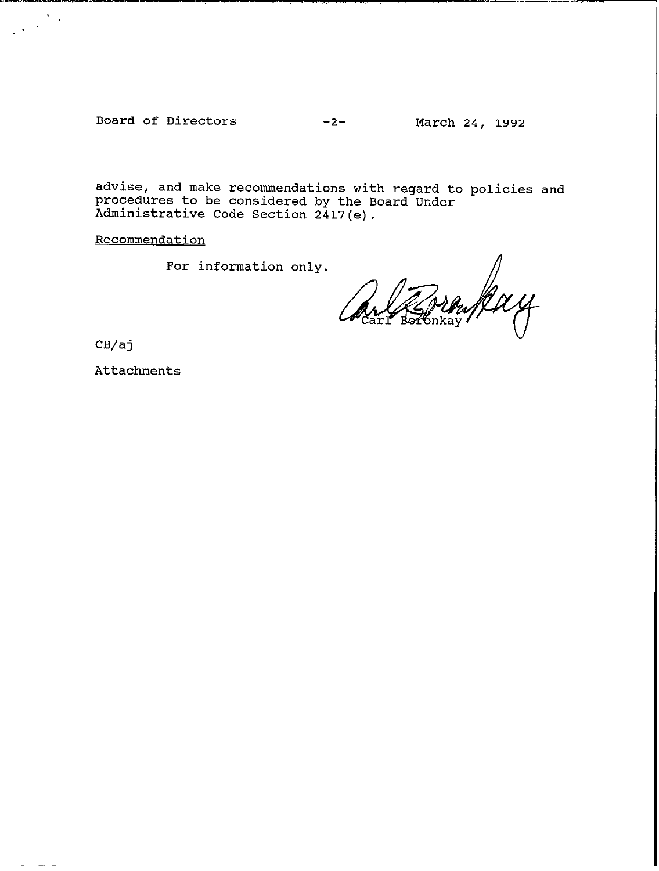Board of Directors -2- March 24, 1992

advise, and make recommendations with regard to policies and procedures to be considered by the Board Under Administrative Code Section 2417(e).

Recommendation

For information only.<br> $\sqrt{\frac{1}{2}Mu/M}$ 6nkav∕

CB/aj

 $\sum_{i=1}^n \frac{1}{i}$  $\sim$ 

Attachments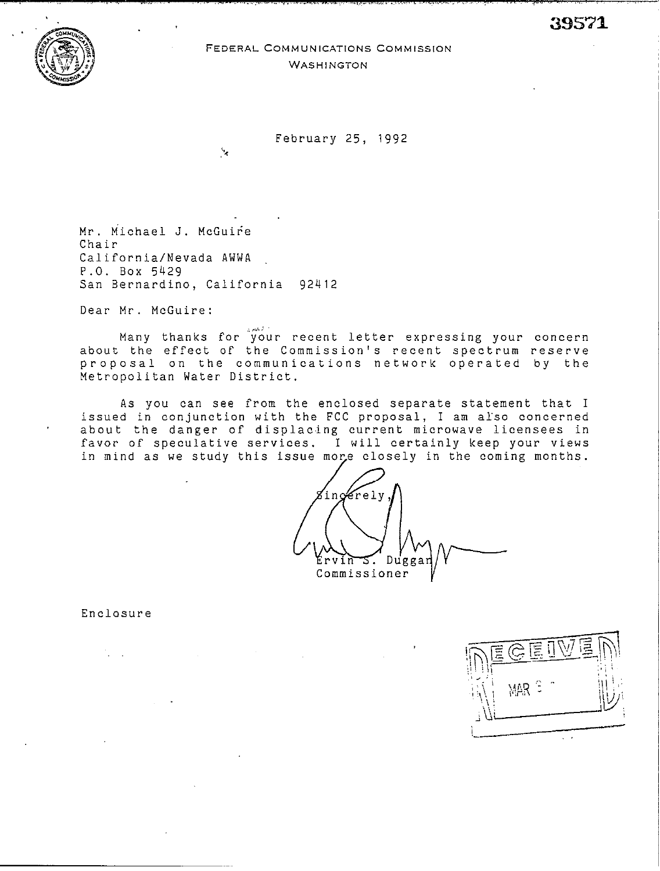. The contract of the contract of the contract of the contract of the contract of the contract of the contract of the contract of the contract of the contract of the contract of the contract of the contract of the contrac

.~



### FEDERAL COMMUNICATIONS COMMISSION WASHINGTON

February 25, 1992

Mr. Michael J. McGuire Chair California/Nevada AWWA P.O. Box 5429 San Bernardino, California 92412

 $\mathbf{v}_\mathrm{g}$ 

Dear Mr. McGuire:

المتصري Many thanks for your recent letter expressing your *concern*  about the effect of the Commission's recent spectrum reserve proposal on the communications network operated by the Metropolitan Water District.

As you can see from the enclosed separate statement that I issued in conjunction with the FCC proposal, I am also concerned about the danger of displacing current microwave licensees in favor of speculative services. I will certainly keep your views in mind as we study this issue more closely in the coming months.

/, ingerely Duggar vin ≊. . Commissioner

Enclosure

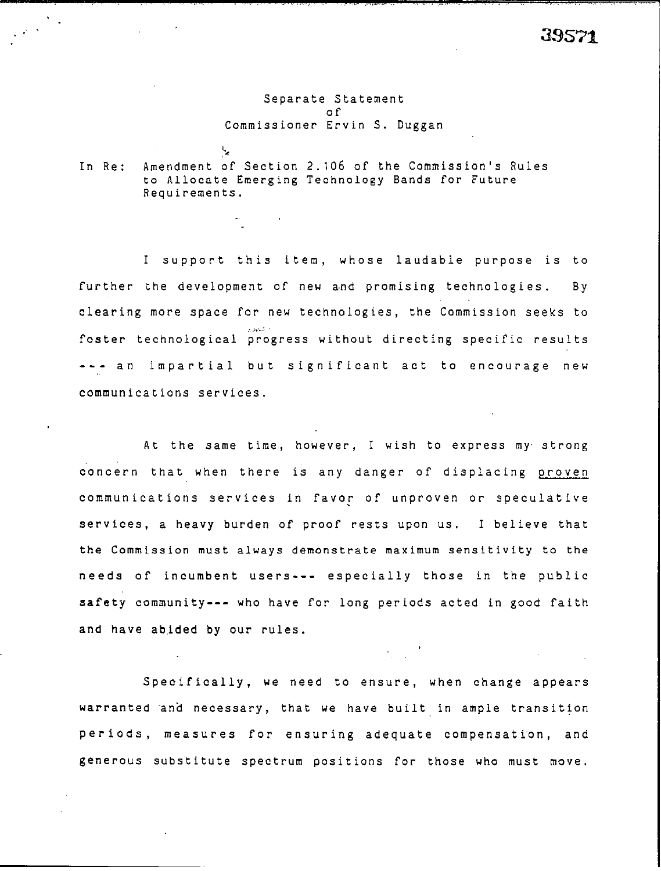#### Separate Statement of Commissioner Ervin S. Duggan

In Re: Amendment of Section 2.106 of the Commission's Rules to Allocate Emerging Technology Bands for Future Requirements.

.%

I support this item, whose laudable purpose is to further the development of new and promising technologies. By clearing more space for new technologies, the Commission seeks to irecting specific resu --- an impartial but significant act to encourage new .: ,;x,.: foster technological progress without d communications services.

At the same time, however, I wish to express my. strong concern that when there is any danger of displacing proven communications services in Favor of unproven or speculative services, a heavy burden of proof rests upon us. I believe that the Commission must always demonstrate maximum sensitivity to the needs of incumbent users--- especially those in the public safety community--- who have for long periods acted in good faith and have abided by our rules.

Specifically, we need to ensure, when change appears warranted and necessary, that we have built in ample transition periods, measures for ensuring adequate compensation, and generous substitute spectrum positions for those who must move.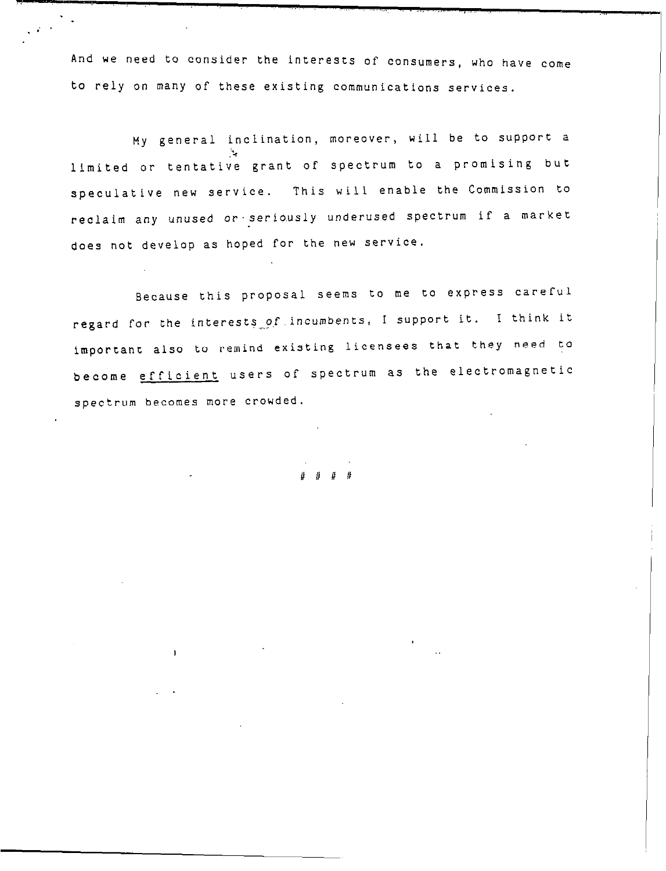And we need to consider the interests of consumers, who have cOme to rely on many of these existing communications services.

\* .

. <br>  $\mathcal{E}^{(1)}$ 

My general inclination, moreover, will be to support a  $\cdot$ limited or tentative grant of spectrum to a promising but speculative new service. This will enable the Commission to reclaim any unused or-seriously underused spectrum if a market does not develop as hoped for the new service.

Because this proposal seems to me to express careful regard for the interests of incumbents, I support it. I think it important also to remind existing licensees that they need to become efficient users of spectrum as the electromagnetic spectrum becomes more crowded.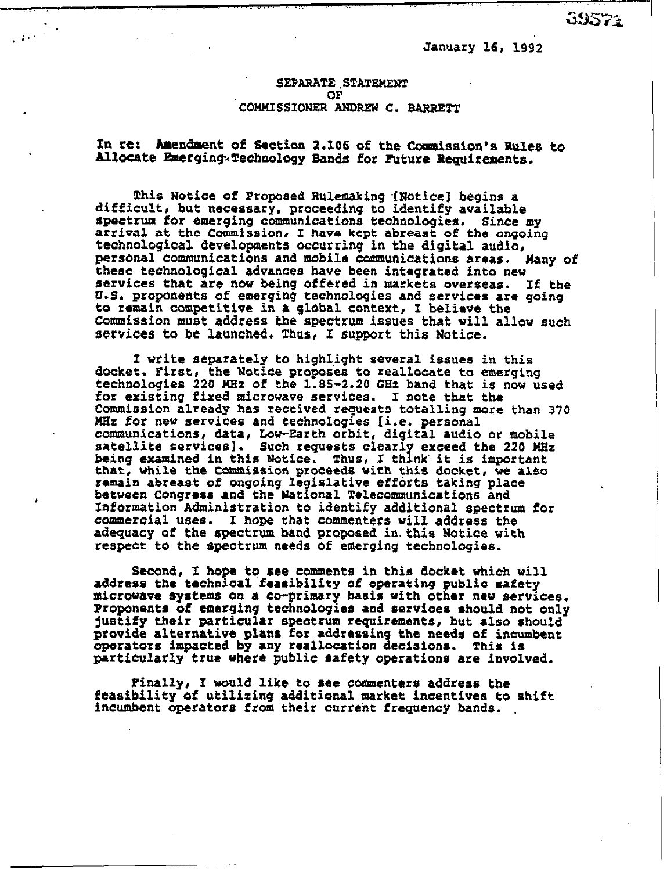**January** 16, 19S2

# SEPARATE .STATEMENT COMMISSIONER ANDREW C. BARRETT

## In re: Amendment of Section 2.106 of the Commission's Rules to Allocate Emerging Technology Bands for Future Requirements.

 $\cdots$  .

This Notice of Proposed Rulemaking [Notice] begins a difficult, but necessary. proceeding to identify available spectrum *for* emerging communications technologies. *Since my*  arrival at the Commission, I have kept abreast of the ongoing technological **developmcnfs** occurring in the digital **audio,**  personal communications and mobile communications areas. Many of these technological advances have been integrated into new services that are nw being offered in *markets ovefseas.* If the U.S. proponents of emerging technologies and services are *going*  to remain competitive in a global context, I believe the Commission must address the spectrum issues that will allov such services to be launched. Thus, I support this Notice.

I write separately to highlight several issues in this docket. First, the Notice proposes to reallocate to emerging technologies 220 MHz of the 1.85-2.20 GHz band that is now used for existing fixed microwave services. I note that the Commission already has received requests totalling more than 370 KHz **for** nev services and **technologies [i.e. personal**  communications, data, Low-Earth orbit, digital audio or **mobile**  satellite services). Such requests clearly exceed the 220 MHz being examined in this Notice. Thus, I think it is important that, vhile the **Cmmiasion** proceeds vith this docket, ve **also remain abreast** of ongoing legislative effbrta taking place betveen Congress and tht National Telecouanunications **and**  Information Administration to identify additional spectrum for commercial uses. I **hope that** commenters vi11 address the adequacy of the spectrum band proposed in this Notice with respect to the spectrum needs of emerging technoloqies.

Second, I hope to see comments in this docket which will address the technical feasibility of operating public **safety**  *micrwave* **systems on** *a* **co-primary** basis vith other nev servicts. **Proponents of emerging tschnologics and** *services* should not only justify **their** particular spectrum requirements, but also should provide alternative plans for addressing the **needs** of incumbent operators impacted by any reallocation decisions. This is particularly true where public safety operations are involved.

Pinally, I would like to see comuenters address the feasibility of utilizing additional market incentives to shift incumbent operator8 from **their** *curreht* frequency bands. .